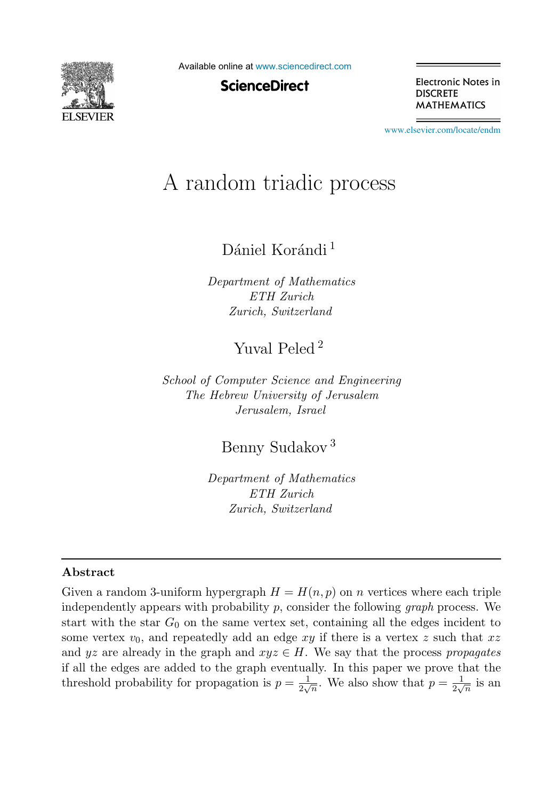

Available online at [www.sciencedirect.com](http://www.sciencedirect.com)

**ScienceDirect** 

Electronic Notes in **DISCRETE MATHEMATICS** 

[www.elsevier.com/locate/endm](http://www.elsevier.com/locate/endm)

# A random triadic process

Dániel Korándi<sup>1</sup>

Department of Mathematics ETH Zurich Zurich, Switzerland

Yuval Peled <sup>2</sup>

School of Computer Science and Engineering The Hebrew University of Jerusalem Jerusalem, Israel

Benny Sudakov <sup>3</sup>

Department of Mathematics ETH Zurich Zurich, Switzerland

#### Abstract

Given a random 3-uniform hypergraph  $H = H(n, p)$  on n vertices where each triple independently appears with probability  $p$ , consider the following *graph* process. We start with the star  $G_0$  on the same vertex set, containing all the edges incident to some vertex  $v_0$ , and repeatedly add an edge  $xy$  if there is a vertex z such that  $xz$ and yz are already in the graph and  $xyz \in H$ . We say that the process propagates if all the edges are added to the graph eventually. In this paper we prove that the threshold probability for propagation is  $p = \frac{1}{2\sqrt{n}}$ . We also show that  $p = \frac{1}{2\sqrt{n}}$  is an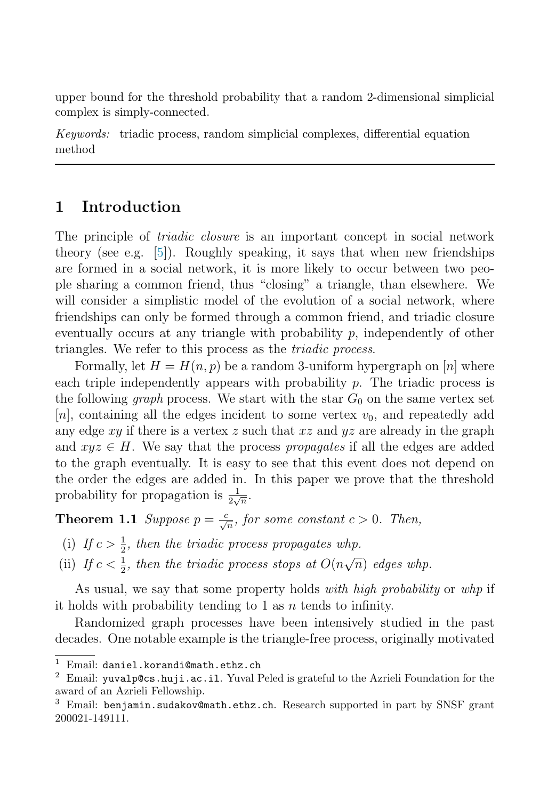upper bound for the threshold probability that a random 2-dimensional simplicial complex is simply-connected.

Keywords: triadic process, random simplicial complexes, differential equation method

# 1 Introduction

The principle of *triadic closure* is an important concept in social network theory (see e.g. [\[5\]](#page-7-0)). Roughly speaking, it says that when new friendships are formed in a social network, it is more likely to occur between two people sharing a common friend, thus "closing" a triangle, than elsewhere. We will consider a simplistic model of the evolution of a social network, where friendships can only be formed through a common friend, and triadic closure eventually occurs at any triangle with probability p, independently of other triangles. We refer to this process as the *triadic process*.

Formally, let  $H = H(n, p)$  be a random 3-uniform hypergraph on [n] where each triple independently appears with probability  $p$ . The triadic process is the following *graph* process. We start with the star  $G_0$  on the same vertex set  $[n]$ , containing all the edges incident to some vertex  $v_0$ , and repeatedly add any edge  $xy$  if there is a vertex z such that  $xz$  and  $yz$  are already in the graph and  $xyz \in H$ . We say that the process propagates if all the edges are added to the graph eventually. It is easy to see that this event does not depend on the order the edges are added in. In this paper we prove that the threshold probability for propagation is  $\frac{1}{2\sqrt{n}}$ .

<span id="page-1-0"></span>**Theorem 1.1** Suppose  $p = \frac{c}{\sqrt{n}}$ , for some constant  $c > 0$ . Then,

- (i) If  $c > \frac{1}{2}$ , then the triadic process propagates whp.
- (ii) If  $c < \frac{1}{2}$ , then the triadic process stops at  $O(n\sqrt{n})$  edges whp.

As usual, we say that some property holds with high probability or whp if it holds with probability tending to 1 as  $n$  tends to infinity.

Randomized graph processes have been intensively studied in the past decades. One notable example is the triangle-free process, originally motivated

<sup>&</sup>lt;sup>1</sup> Email: daniel.korandi@math.ethz.ch<br><sup>2</sup> Email: yuvalp@cs.huji.ac.il. Yuval Peled is grateful to the Azrieli Foundation for the award of an Azrieli Fellowship.

<sup>3</sup> Email: benjamin.sudakov@math.ethz.ch. Research supported in part by SNSF grant 200021-149111.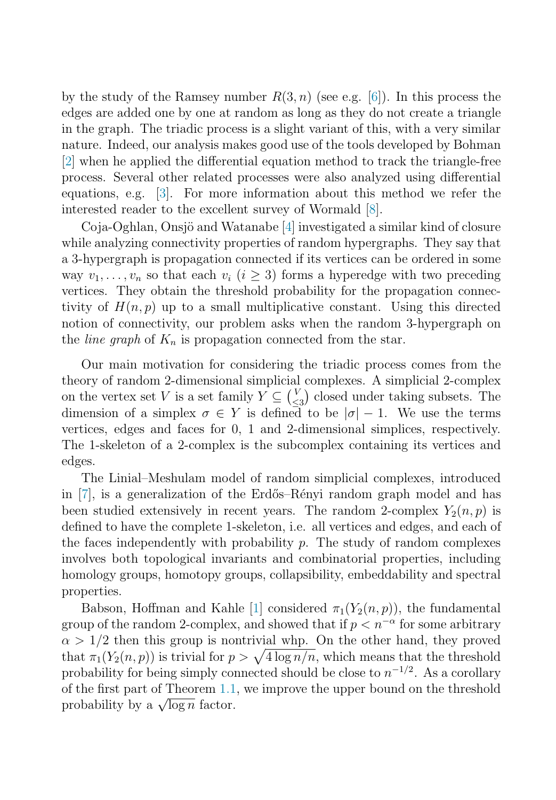by the study of the Ramsey number  $R(3, n)$  (see e.g. [\[6\]](#page-7-1)). In this process the edges are added one by one at random as long as they do not create a triangle in the graph. The triadic process is a slight variant of this, with a very similar nature. Indeed, our analysis makes good use of the tools developed by Bohman [\[2\]](#page-6-0) when he applied the differential equation method to track the triangle-free process. Several other related processes were also analyzed using differential equations, e.g. [\[3\]](#page-6-1). For more information about this method we refer the interested reader to the excellent survey of Wormald [\[8\]](#page-7-2).

Coja-Oghlan, Onsjö and Watanabe [\[4\]](#page-7-3) investigated a similar kind of closure while analyzing connectivity properties of random hypergraphs. They say that a 3-hypergraph is propagation connected if its vertices can be ordered in some way  $v_1, \ldots, v_n$  so that each  $v_i$   $(i \geq 3)$  forms a hyperedge with two preceding vertices. They obtain the threshold probability for the propagation connectivity of  $H(n, p)$  up to a small multiplicative constant. Using this directed notion of connectivity, our problem asks when the random 3-hypergraph on the *line graph* of  $K_n$  is propagation connected from the star.

Our main motivation for considering the triadic process comes from the theory of random 2-dimensional simplicial complexes. A simplicial 2-complex on the vertex set V is a set family  $Y \subseteq {V \choose \leq 3}$  closed under taking subsets. The dimension of a simplex  $\sigma \in Y$  is defined to be  $|\sigma| - 1$ . We use the terms vertices, edges and faces for 0, 1 and 2-dimensional simplices, respectively. The 1-skeleton of a 2-complex is the subcomplex containing its vertices and edges.

The Linial–Meshulam model of random simplicial complexes, introduced in  $[7]$ , is a generalization of the Erdős–Rényi random graph model and has been studied extensively in recent years. The random 2-complex  $Y_2(n, p)$  is defined to have the complete 1-skeleton, i.e. all vertices and edges, and each of the faces independently with probability  $p$ . The study of random complexes involves both topological invariants and combinatorial properties, including homology groups, homotopy groups, collapsibility, embeddability and spectral properties.

Babson, Hoffman and Kahle [\[1\]](#page-6-2) considered  $\pi_1(Y_2(n, p))$ , the fundamental group of the random 2-complex, and showed that if  $p < n^{-\alpha}$  for some arbitrary  $\alpha > 1/2$  then this group is nontrivial whp. On the other hand, they proved that  $\pi_1(Y_2(n, p))$  is trivial for  $p > \sqrt{4 \log n/n}$ , which means that the threshold probability for being simply connected should be close to  $n^{-1/2}$ . As a corollary of the first part of Theorem [1.1,](#page-1-0) we improve the upper bound on the threshold probability by a  $\sqrt{\log n}$  factor.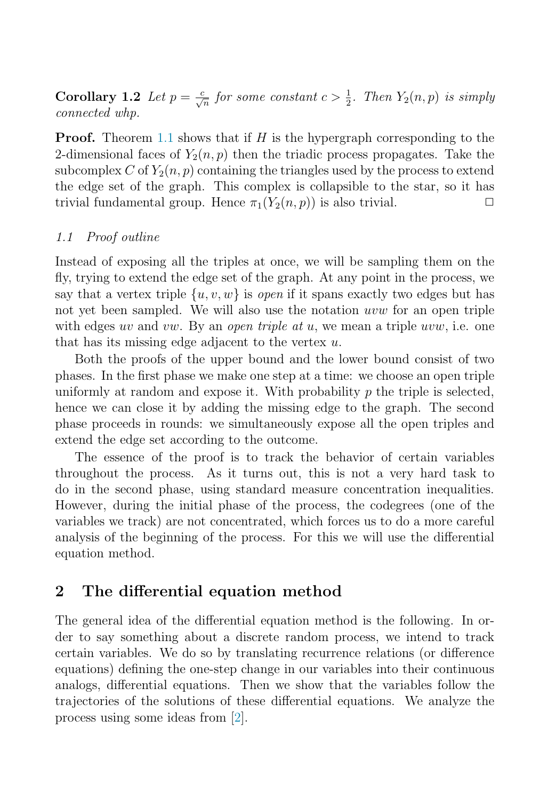**Corollary 1.2** Let  $p = \frac{c}{\sqrt{n}}$  for some constant  $c > \frac{1}{2}$ . Then  $Y_2(n, p)$  is simply connected whp.

**Proof.** Theorem [1.1](#page-1-0) shows that if H is the hypergraph corresponding to the 2-dimensional faces of  $Y_2(n, p)$  then the triadic process propagates. Take the subcomplex C of  $Y_2(n, p)$  containing the triangles used by the process to extend the edge set of the graph. This complex is collapsible to the star, so it has trivial fundamental group. Hence  $\pi_1(Y_2(n, p))$  is also trivial.

#### 1.1 Proof outline

Instead of exposing all the triples at once, we will be sampling them on the fly, trying to extend the edge set of the graph. At any point in the process, we say that a vertex triple  $\{u, v, w\}$  is open if it spans exactly two edges but has not yet been sampled. We will also use the notation uvw for an open triple with edges uv and vw. By an open triple at u, we mean a triple uvw, i.e. one that has its missing edge adjacent to the vertex  $u$ .

Both the proofs of the upper bound and the lower bound consist of two phases. In the first phase we make one step at a time: we choose an open triple uniformly at random and expose it. With probability  $p$  the triple is selected, hence we can close it by adding the missing edge to the graph. The second phase proceeds in rounds: we simultaneously expose all the open triples and extend the edge set according to the outcome.

The essence of the proof is to track the behavior of certain variables throughout the process. As it turns out, this is not a very hard task to do in the second phase, using standard measure concentration inequalities. However, during the initial phase of the process, the codegrees (one of the variables we track) are not concentrated, which forces us to do a more careful analysis of the beginning of the process. For this we will use the differential equation method.

#### 2 The differential equation method

The general idea of the differential equation method is the following. In order to say something about a discrete random process, we intend to track certain variables. We do so by translating recurrence relations (or difference equations) defining the one-step change in our variables into their continuous analogs, differential equations. Then we show that the variables follow the trajectories of the solutions of these differential equations. We analyze the process using some ideas from [\[2\]](#page-6-0).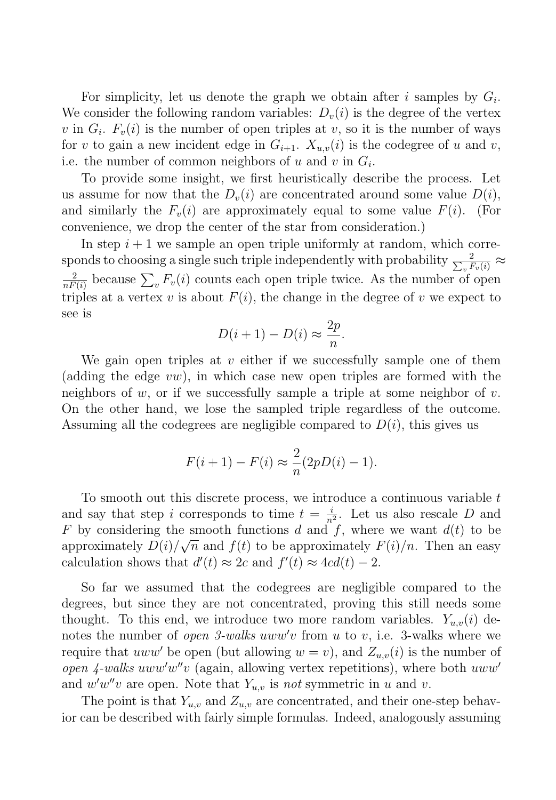For simplicity, let us denote the graph we obtain after i samples by  $G_i$ . We consider the following random variables:  $D_{\nu}(i)$  is the degree of the vertex v in  $G_i$ .  $F_i(i)$  is the number of open triples at v, so it is the number of ways for v to gain a new incident edge in  $G_{i+1}$ .  $X_{u,v}(i)$  is the codegree of u and v, i.e. the number of common neighbors of u and v in  $G_i$ .

To provide some insight, we first heuristically describe the process. Let us assume for now that the  $D_v(i)$  are concentrated around some value  $D(i)$ , and similarly the  $F_v(i)$  are approximately equal to some value  $F(i)$ . (For convenience, we drop the center of the star from consideration.)

In step  $i+1$  we sample an open triple uniformly at random, which corresponds to choosing a single such triple independently with probability  $\frac{2}{\sum_{v} F_v(i)} \approx$  $\frac{2}{nF(i)}$  because  $\sum_{v} F_{v}(i)$  counts each open triple twice. As the number of open triples at a vertex v is about  $F(i)$ , the change in the degree of v we expect to see is

$$
D(i+1) - D(i) \approx \frac{2p}{n}.
$$

We gain open triples at  $v$  either if we successfully sample one of them (adding the edge  $vw$ ), in which case new open triples are formed with the neighbors of w, or if we successfully sample a triple at some neighbor of v. On the other hand, we lose the sampled triple regardless of the outcome. Assuming all the codegrees are negligible compared to  $D(i)$ , this gives us

$$
F(i + 1) - F(i) \approx \frac{2}{n}(2pD(i) - 1).
$$

To smooth out this discrete process, we introduce a continuous variable  $t$ and say that step i corresponds to time  $t = \frac{i}{n^2}$ . Let us also rescale D and F by considering the smooth functions d and f, where we want  $d(t)$  to be approximately  $D(i)/\sqrt{n}$  and  $f(t)$  to be approximately  $F(i)/n$ . Then an easy calculation shows that  $d'(t) \approx 2c$  and  $f'(t) \approx 4cd(t) - 2$ .

So far we assumed that the codegrees are negligible compared to the degrees, but since they are not concentrated, proving this still needs some thought. To this end, we introduce two more random variables.  $Y_{u,v}(i)$  denotes the number of *open 3-walks uww'v* from  $u$  to  $v$ , i.e. 3-walks where we require that uww' be open (but allowing  $w = v$ ), and  $Z_{u,v}(i)$  is the number of open  $\lambda$ -walks uww'w"v (again, allowing vertex repetitions), where both uww' and  $w'w''v$  are open. Note that  $Y_{u,v}$  is not symmetric in u and v.

The point is that  $Y_{u,v}$  and  $Z_{u,v}$  are concentrated, and their one-step behavior can be described with fairly simple formulas. Indeed, analogously assuming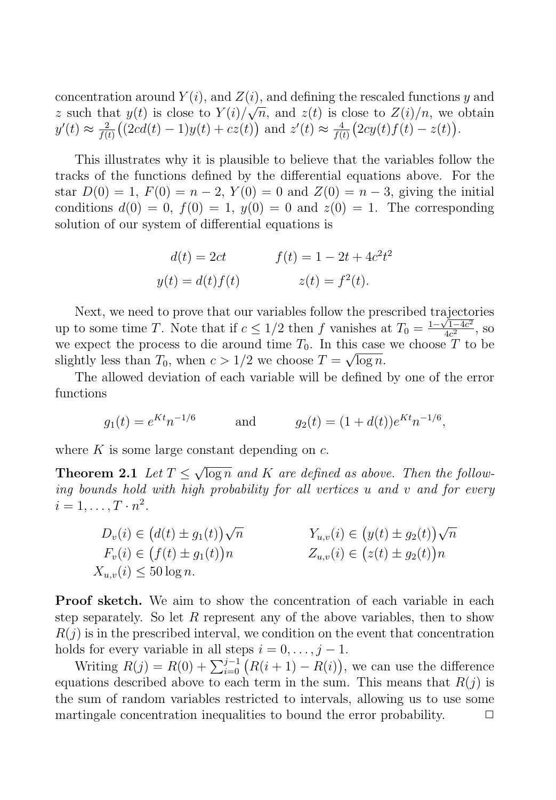concentration around  $Y(i)$ , and  $Z(i)$ , and defining the rescaled functions y and z such that  $y(t)$  is close to  $Y(i)/\sqrt{n}$ , and  $z(t)$  is close to  $Z(i)/n$ , we obtain  $y'(t) \approx \frac{2}{f(t)}((2cd(t)-1)y(t) + cz(t))$  and  $z'(t) \approx \frac{4}{f(t)}(2cy(t)f(t) - z(t)).$ 

This illustrates why it is plausible to believe that the variables follow the tracks of the functions defined by the differential equations above. For the star  $D(0) = 1$ ,  $F(0) = n - 2$ ,  $Y(0) = 0$  and  $Z(0) = n - 3$ , giving the initial conditions  $d(0) = 0$ ,  $f(0) = 1$ ,  $y(0) = 0$  and  $z(0) = 1$ . The corresponding solution of our system of differential equations is

$$
d(t) = 2ct
$$
  
\n
$$
f(t) = 1 - 2t + 4c^2t^2
$$
  
\n
$$
y(t) = d(t)f(t)
$$
  
\n
$$
z(t) = f^2(t).
$$

Next, we need to prove that our variables follow the prescribed trajectories up to some time T. Note that if  $c \leq 1/2$  then f vanishes at  $T_0 = \frac{1-\sqrt{1-4c^2}}{4c^2}$ , so we expect the process to die around time  $T_0$ . In this case we choose  $T$  to be slightly less than  $T_0$ , when  $c > 1/2$  we choose  $T = \sqrt{\log n}$ .

The allowed deviation of each variable will be defined by one of the error functions

$$
g_1(t) = e^{Kt}n^{-1/6}
$$
 and  $g_2(t) = (1 + d(t))e^{Kt}n^{-1/6}$ ,

where  $K$  is some large constant depending on  $c$ .

**Theorem 2.1** Let  $T < \sqrt{\log n}$  and K are defined as above. Then the following bounds hold with high probability for all vertices  $u$  and  $v$  and for every  $i=1,\ldots,T\cdot n^2$ .

$$
D_v(i) \in (d(t) \pm g_1(t))\sqrt{n}
$$
  
\n
$$
F_v(i) \in (f(t) \pm g_1(t))n
$$
  
\n
$$
X_{u,v}(i) \le 50 \log n.
$$
  
\n
$$
Y_{u,v}(i) \in (y(t) \pm g_2(t))n
$$
  
\n
$$
Z_{u,v}(i) \in (z(t) \pm g_2(t))n
$$

Proof sketch. We aim to show the concentration of each variable in each step separately. So let  $R$  represent any of the above variables, then to show  $R(j)$  is in the prescribed interval, we condition on the event that concentration holds for every variable in all steps  $i = 0, \ldots, j - 1$ .

Writing  $R(j) = R(0) + \sum_{i=0}^{j-1} (R(i+1) - R(i))$ , we can use the difference equations described above to each term in the sum. This means that  $R(j)$  is the sum of random variables restricted to intervals, allowing us to use some martingale concentration inequalities to bound the error probability.  $\Box$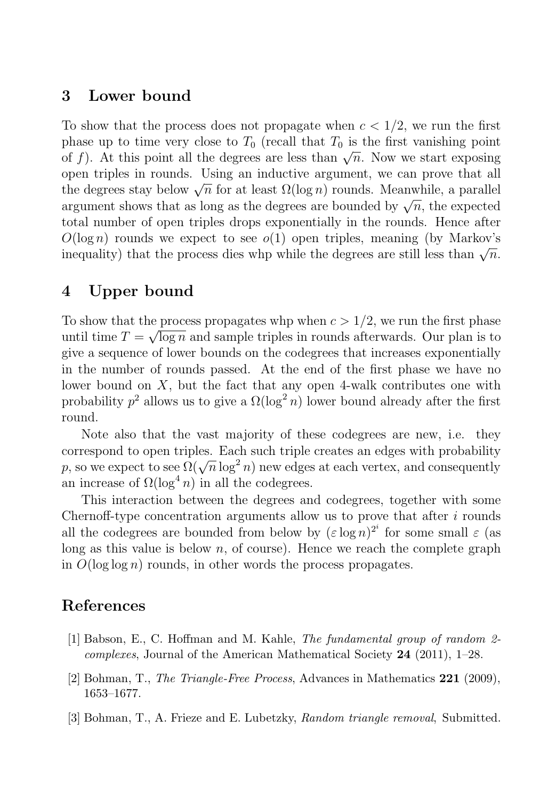### 3 Lower bound

To show that the process does not propagate when  $c < 1/2$ , we run the first phase up to time very close to  $T_0$  (recall that  $T_0$  is the first vanishing point of f). At this point all the degrees are less than  $\sqrt{n}$ . Now we start exposing open triples in rounds. Using an inductive argument, we can prove that all the degrees stay below  $\sqrt{n}$  for at least  $\Omega(\log n)$  rounds. Meanwhile, a parallel argument shows that as long as the degrees are bounded by  $\sqrt{n}$ , the expected total number of open triples drops exponentially in the rounds. Hence after  $O(\log n)$  rounds we expect to see  $o(1)$  open triples, meaning (by Markov's inequality) that the process dies whp while the degrees are still less than  $\sqrt{n}$ .

# 4 Upper bound

To show that the process propagates whp when  $c > 1/2$ , we run the first phase until time  $T = \sqrt{\log n}$  and sample triples in rounds afterwards. Our plan is to give a sequence of lower bounds on the codegrees that increases exponentially in the number of rounds passed. At the end of the first phase we have no lower bound on  $X$ , but the fact that any open 4-walk contributes one with probability  $p^2$  allows us to give a  $\Omega(\log^2 n)$  lower bound already after the first round.

Note also that the vast majority of these codegrees are new, i.e. they correspond to open triples. Each such triple creates an edges with probability p, so we expect to see  $\Omega(\sqrt{n}\log^2 n)$  new edges at each vertex, and consequently an increase of  $\Omega(\log^4 n)$  in all the codegrees.

This interaction between the degrees and codegrees, together with some Chernoff-type concentration arguments allow us to prove that after  $i$  rounds all the codegrees are bounded from below by  $(\varepsilon \log n)^{2^i}$  for some small  $\varepsilon$  (as long as this value is below  $n$ , of course). Hence we reach the complete graph in  $O(\log \log n)$  rounds, in other words the process propagates.

## <span id="page-6-2"></span><span id="page-6-0"></span>References

- <span id="page-6-1"></span>[1] Babson, E., C. Hoffman and M. Kahle, The fundamental group of random 2 *complexes*, Journal of the American Mathematical Society  $24$  (2011), 1–28.
- [2] Bohman, T., The Triangle-Free Process, Advances in Mathematics 221 (2009), 1653–1677.
- [3] Bohman, T., A. Frieze and E. Lubetzky, Random triangle removal, Submitted.